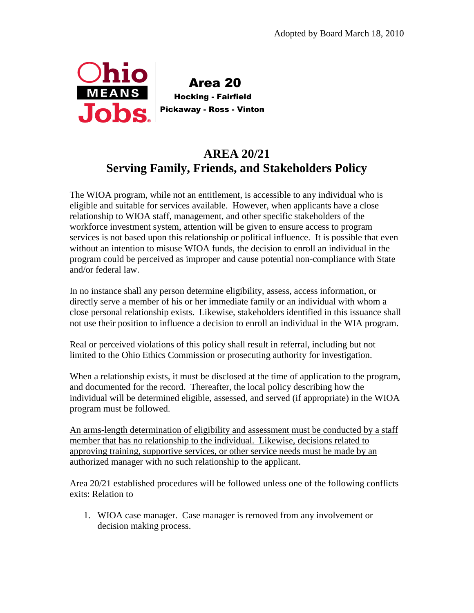

 Area 20 Hocking - Fairfield Pickaway - Ross - Vinton

## **AREA 20/21 Serving Family, Friends, and Stakeholders Policy**

The WIOA program, while not an entitlement, is accessible to any individual who is eligible and suitable for services available. However, when applicants have a close relationship to WIOA staff, management, and other specific stakeholders of the workforce investment system, attention will be given to ensure access to program services is not based upon this relationship or political influence. It is possible that even without an intention to misuse WIOA funds, the decision to enroll an individual in the program could be perceived as improper and cause potential non-compliance with State and/or federal law.

In no instance shall any person determine eligibility, assess, access information, or directly serve a member of his or her immediate family or an individual with whom a close personal relationship exists. Likewise, stakeholders identified in this issuance shall not use their position to influence a decision to enroll an individual in the WIA program.

Real or perceived violations of this policy shall result in referral, including but not limited to the Ohio Ethics Commission or prosecuting authority for investigation.

When a relationship exists, it must be disclosed at the time of application to the program, and documented for the record. Thereafter, the local policy describing how the individual will be determined eligible, assessed, and served (if appropriate) in the WIOA program must be followed.

An arms-length determination of eligibility and assessment must be conducted by a staff member that has no relationship to the individual. Likewise, decisions related to approving training, supportive services, or other service needs must be made by an authorized manager with no such relationship to the applicant.

Area 20/21 established procedures will be followed unless one of the following conflicts exits: Relation to

1. WIOA case manager. Case manager is removed from any involvement or decision making process.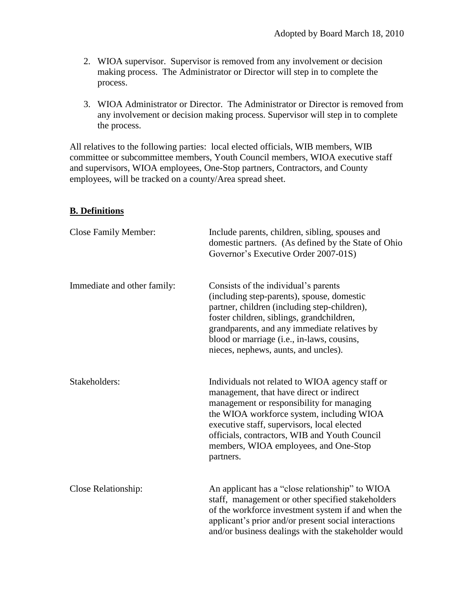- 2. WIOA supervisor. Supervisor is removed from any involvement or decision making process. The Administrator or Director will step in to complete the process.
- 3. WIOA Administrator or Director. The Administrator or Director is removed from any involvement or decision making process. Supervisor will step in to complete the process.

All relatives to the following parties: local elected officials, WIB members, WIB committee or subcommittee members, Youth Council members, WIOA executive staff and supervisors, WIOA employees, One-Stop partners, Contractors, and County employees, will be tracked on a county/Area spread sheet.

## **B. Definitions**

| <b>Close Family Member:</b> | Include parents, children, sibling, spouses and<br>domestic partners. (As defined by the State of Ohio<br>Governor's Executive Order 2007-01S)                                                                                                                                                                                              |
|-----------------------------|---------------------------------------------------------------------------------------------------------------------------------------------------------------------------------------------------------------------------------------------------------------------------------------------------------------------------------------------|
| Immediate and other family: | Consists of the individual's parents<br>(including step-parents), spouse, domestic<br>partner, children (including step-children),<br>foster children, siblings, grandchildren,<br>grandparents, and any immediate relatives by<br>blood or marriage (i.e., in-laws, cousins,<br>nieces, nephews, aunts, and uncles).                       |
| Stakeholders:               | Individuals not related to WIOA agency staff or<br>management, that have direct or indirect<br>management or responsibility for managing<br>the WIOA workforce system, including WIOA<br>executive staff, supervisors, local elected<br>officials, contractors, WIB and Youth Council<br>members, WIOA employees, and One-Stop<br>partners. |
| Close Relationship:         | An applicant has a "close relationship" to WIOA<br>staff, management or other specified stakeholders<br>of the workforce investment system if and when the<br>applicant's prior and/or present social interactions<br>and/or business dealings with the stakeholder would                                                                   |